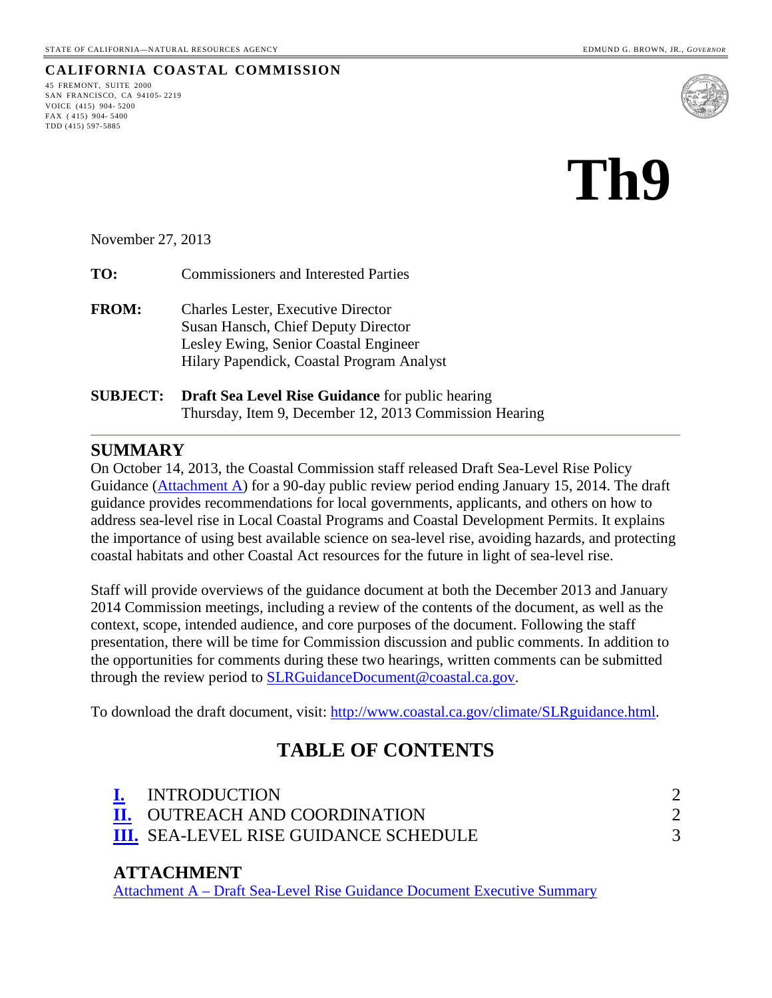#### **CALIFORNIA COASTAL COMMISSION**

45 FREMONT, SUITE 2000 SAN FRANCISCO, CA 94105- 2219 VOICE (415) 904- 5200 FAX ( 415) 904- 5400 TDD (415) 597-5885



# **Th9**

November 27, 2013

**TO:** Commissioners and Interested Parties

- **FROM:** Charles Lester, Executive Director Susan Hansch, Chief Deputy Director Lesley Ewing, Senior Coastal Engineer Hilary Papendick, Coastal Program Analyst
- **SUBJECT: Draft Sea Level Rise Guidance** for public hearing Thursday, Item 9, December 12, 2013 Commission Hearing

#### **SUMMARY**

On October 14, 2013, the Coastal Commission staff released Draft Sea-Level Rise Policy Guidance [\(Attachment A\)](#page-3-0) for a 90-day public review period ending January 15, 2014. The draft guidance provides recommendations for local governments, applicants, and others on how to address sea-level rise in Local Coastal Programs and Coastal Development Permits. It explains the importance of using best available science on sea-level rise, avoiding hazards, and protecting coastal habitats and other Coastal Act resources for the future in light of sea-level rise.

Staff will provide overviews of the guidance document at both the December 2013 and January 2014 Commission meetings, including a review of the contents of the document, as well as the context, scope, intended audience, and core purposes of the document. Following the staff presentation, there will be time for Commission discussion and public comments. In addition to the opportunities for comments during these two hearings, written comments can be submitted through the review period to [SLRGuidanceDocument@coastal.ca.gov.](mailto:SLRGuidanceDocument@coastal.ca.gov)

To download the draft document, visit: [http://www.coastal.ca.gov/climate/SLRguidance.html.](http://www.coastal.ca.gov/climate/SLRguidance.html)

# **TABLE OF CONTENTS**

| <b>INTRODUCTION</b>                          |  |
|----------------------------------------------|--|
| <b>II. OUTREACH AND COORDINATION</b>         |  |
| <b>III.</b> SEA-LEVEL RISE GUIDANCE SCHEDULE |  |

#### **ATTACHMENT**

Attachment A – [Draft Sea-Level Rise Guidance Document Executive Summary](#page-3-0)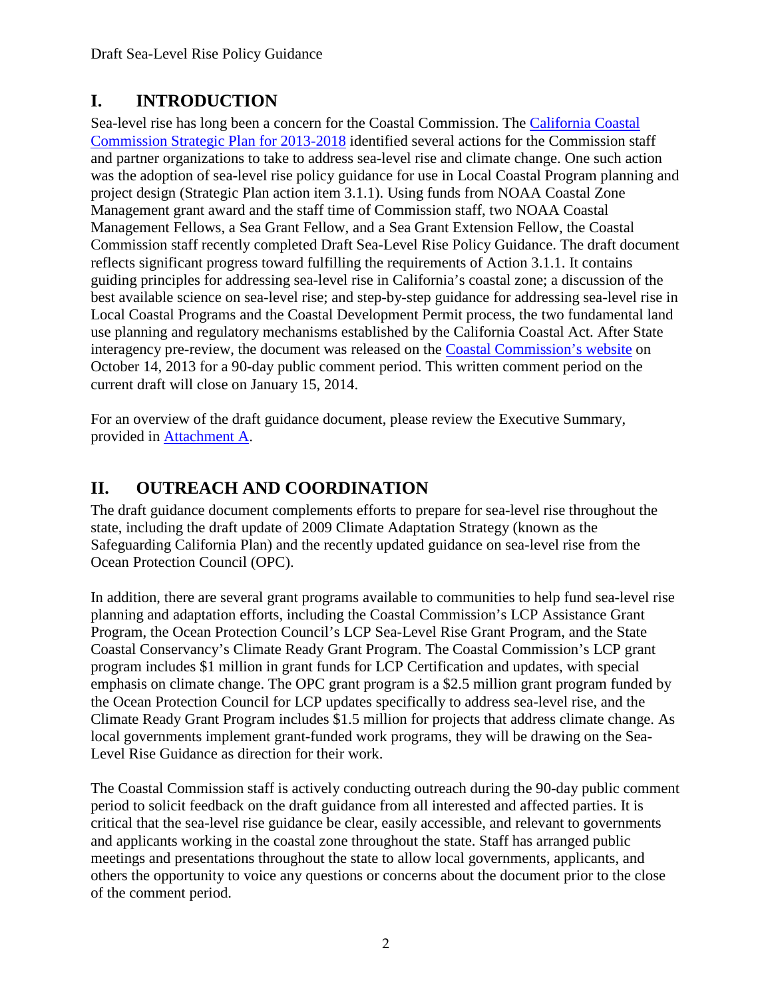# <span id="page-1-0"></span>**I. INTRODUCTION**

Sea-level rise has long been a concern for the Coastal Commission. The [California Coastal](http://www.coastal.ca.gov/California%20Coastal%20Commission%20Final%20Strategic%20Plan%202013-2018.pdf)  [Commission Strategic Plan for 2013-2018](http://www.coastal.ca.gov/California%20Coastal%20Commission%20Final%20Strategic%20Plan%202013-2018.pdf) identified several actions for the Commission staff and partner organizations to take to address sea-level rise and climate change. One such action was the adoption of sea-level rise policy guidance for use in Local Coastal Program planning and project design (Strategic Plan action item 3.1.1). Using funds from NOAA Coastal Zone Management grant award and the staff time of Commission staff, two NOAA Coastal Management Fellows, a Sea Grant Fellow, and a Sea Grant Extension Fellow, the Coastal Commission staff recently completed Draft Sea-Level Rise Policy Guidance. The draft document reflects significant progress toward fulfilling the requirements of Action 3.1.1. It contains guiding principles for addressing sea-level rise in California's coastal zone; a discussion of the best available science on sea-level rise; and step-by-step guidance for addressing sea-level rise in Local Coastal Programs and the Coastal Development Permit process, the two fundamental land use planning and regulatory mechanisms established by the California Coastal Act. After State interagency pre-review, the document was released on the [Coastal Commission's website](http://www.coastal.ca.gov/climate/SLRguidance.html) on October 14, 2013 for a 90-day public comment period. This written comment period on the current draft will close on January 15, 2014.

For an overview of the draft guidance document, please review the Executive Summary, provided in [Attachment A.](#page-3-0)

# <span id="page-1-1"></span>**II. OUTREACH AND COORDINATION**

The draft guidance document complements efforts to prepare for sea-level rise throughout the state, including the draft update of 2009 Climate Adaptation Strategy (known as the Safeguarding California Plan) and the recently updated guidance on sea-level rise from the Ocean Protection Council (OPC).

In addition, there are several grant programs available to communities to help fund sea-level rise planning and adaptation efforts, including the Coastal Commission's LCP Assistance Grant Program, the Ocean Protection Council's LCP Sea-Level Rise Grant Program, and the State Coastal Conservancy's Climate Ready Grant Program. The Coastal Commission's LCP grant program includes \$1 million in grant funds for LCP Certification and updates, with special emphasis on climate change. The OPC grant program is a \$2.5 million grant program funded by the Ocean Protection Council for LCP updates specifically to address sea-level rise, and the Climate Ready Grant Program includes \$1.5 million for projects that address climate change. As local governments implement grant-funded work programs, they will be drawing on the Sea-Level Rise Guidance as direction for their work.

The Coastal Commission staff is actively conducting outreach during the 90-day public comment period to solicit feedback on the draft guidance from all interested and affected parties. It is critical that the sea-level rise guidance be clear, easily accessible, and relevant to governments and applicants working in the coastal zone throughout the state. Staff has arranged public meetings and presentations throughout the state to allow local governments, applicants, and others the opportunity to voice any questions or concerns about the document prior to the close of the comment period.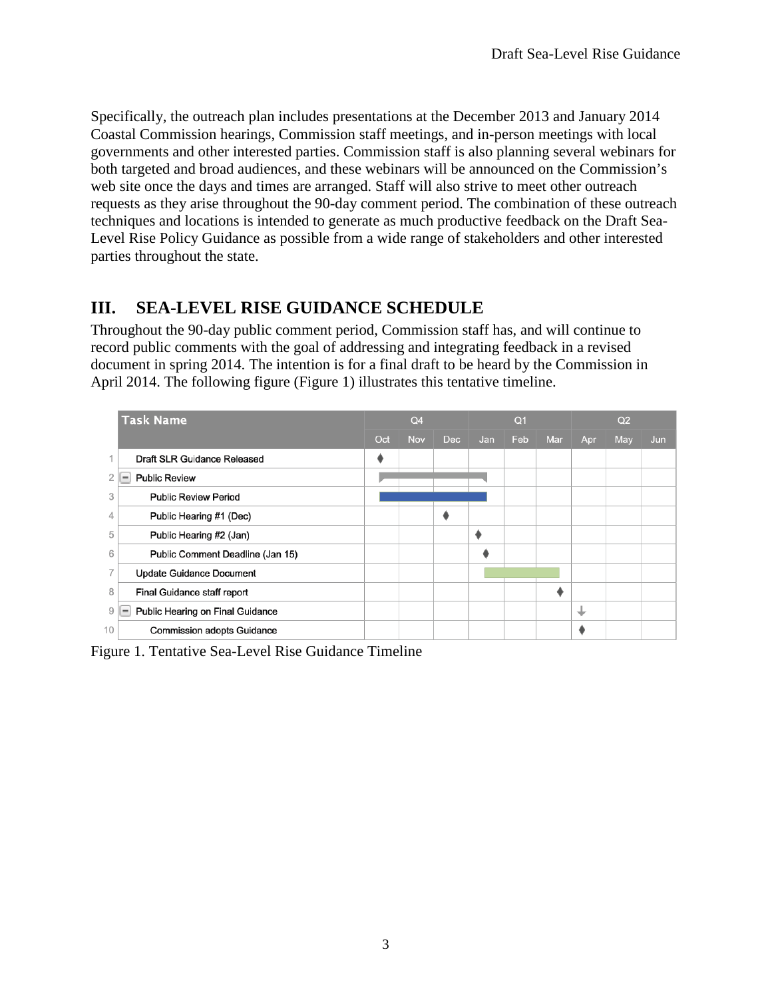Specifically, the outreach plan includes presentations at the December 2013 and January 2014 Coastal Commission hearings, Commission staff meetings, and in-person meetings with local governments and other interested parties. Commission staff is also planning several webinars for both targeted and broad audiences, and these webinars will be announced on the Commission's web site once the days and times are arranged. Staff will also strive to meet other outreach requests as they arise throughout the 90-day comment period. The combination of these outreach techniques and locations is intended to generate as much productive feedback on the Draft Sea-Level Rise Policy Guidance as possible from a wide range of stakeholders and other interested parties throughout the state.

## <span id="page-2-0"></span>**III. SEA-LEVEL RISE GUIDANCE SCHEDULE**

Throughout the 90-day public comment period, Commission staff has, and will continue to record public comments with the goal of addressing and integrating feedback in a revised document in spring 2014. The intention is for a final draft to be heard by the Commission in April 2014. The following figure (Figure 1) illustrates this tentative timeline.

|    | <b>Task Name</b>                                             |     | Q <sub>4</sub> |     | Q <sub>1</sub> |     |     | Q2  |     |     |
|----|--------------------------------------------------------------|-----|----------------|-----|----------------|-----|-----|-----|-----|-----|
|    |                                                              | Oct | <b>Nov</b>     | Dec | Jan            | Feb | Mar | Apr | May | Jun |
|    | Draft SLR Guidance Released                                  |     |                |     |                |     |     |     |     |     |
|    | <b>Public Review</b>                                         |     |                |     |                |     |     |     |     |     |
| 3  | <b>Public Review Period</b>                                  |     |                |     |                |     |     |     |     |     |
| 4  | Public Hearing #1 (Dec)                                      |     |                |     |                |     |     |     |     |     |
| 5  | Public Hearing #2 (Jan)                                      |     |                |     |                |     |     |     |     |     |
| 6  | Public Comment Deadline (Jan 15)                             |     |                |     |                |     |     |     |     |     |
| 7  | <b>Update Guidance Document</b>                              |     |                |     |                |     |     |     |     |     |
| 8  | Final Guidance staff report                                  |     |                |     |                |     |     |     |     |     |
| 9  | Public Hearing on Final Guidance<br>$\overline{\phantom{a}}$ |     |                |     |                |     |     | ┶   |     |     |
| 10 | <b>Commission adopts Guidance</b>                            |     |                |     |                |     |     |     |     |     |

Figure 1. Tentative Sea-Level Rise Guidance Timeline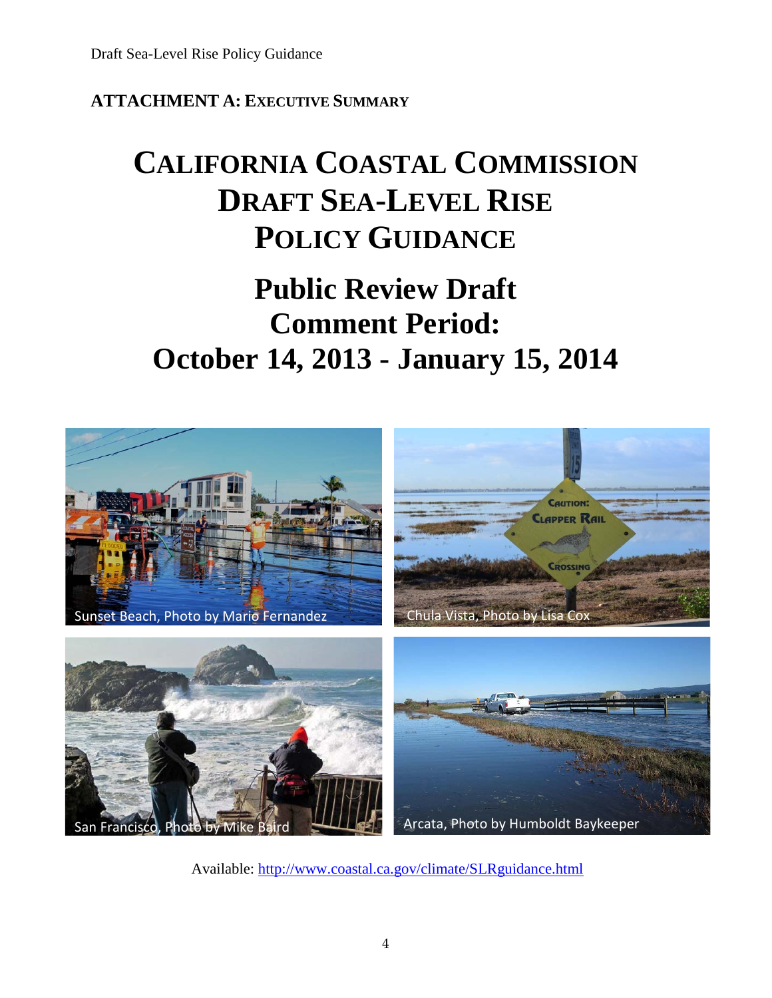## <span id="page-3-0"></span>**ATTACHMENT A: EXECUTIVE SUMMARY**

# **CALIFORNIA COASTAL COMMISSION DRAFT SEA-LEVEL RISE POLICY GUIDANCE**

# **Public Review Draft Comment Period: October 14, 2013 - January 15, 2014**



Available:<http://www.coastal.ca.gov/climate/SLRguidance.html>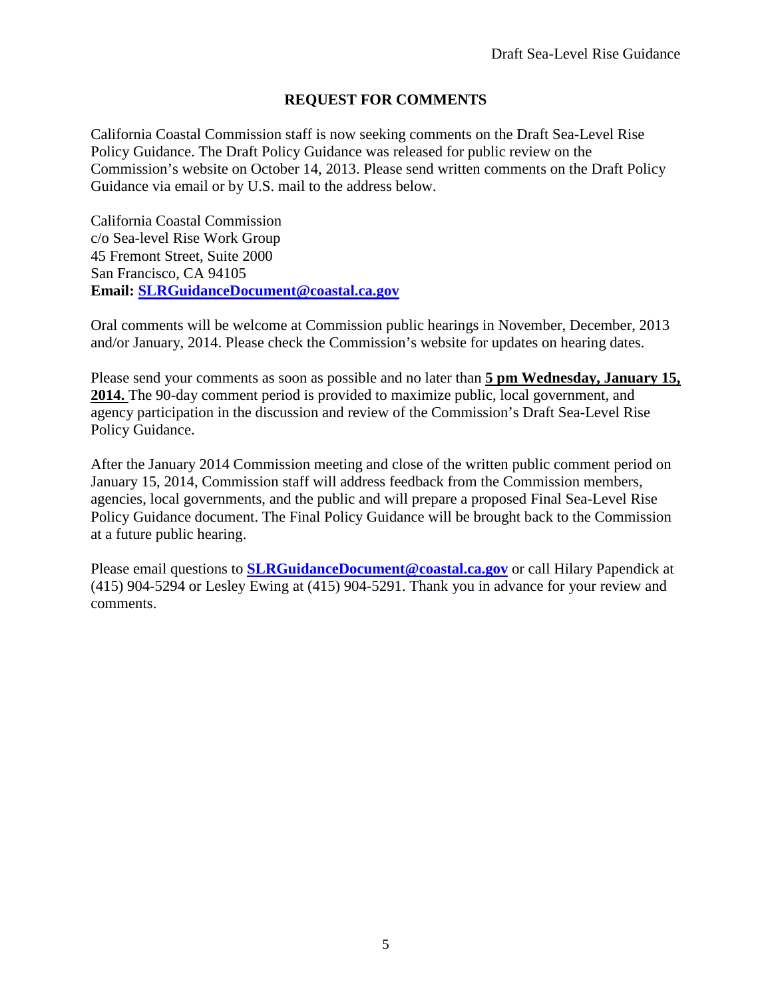#### **REQUEST FOR COMMENTS**

California Coastal Commission staff is now seeking comments on the Draft Sea-Level Rise Policy Guidance. The Draft Policy Guidance was released for public review on the Commission's website on October 14, 2013. Please send written comments on the Draft Policy Guidance via email or by U.S. mail to the address below.

California Coastal Commission c/o Sea-level Rise Work Group 45 Fremont Street, Suite 2000 San Francisco, CA 94105 **Email: [SLRGuidanceDocument@coastal.ca.gov](mailto:SLRGuidanceDocument@coastal.ca.gov)**

Oral comments will be welcome at Commission public hearings in November, December, 2013 and/or January, 2014. Please check the Commission's website for updates on hearing dates.

Please send your comments as soon as possible and no later than **5 pm Wednesday, January 15, 2014.** The 90-day comment period is provided to maximize public, local government, and agency participation in the discussion and review of the Commission's Draft Sea-Level Rise Policy Guidance.

After the January 2014 Commission meeting and close of the written public comment period on January 15, 2014, Commission staff will address feedback from the Commission members, agencies, local governments, and the public and will prepare a proposed Final Sea-Level Rise Policy Guidance document. The Final Policy Guidance will be brought back to the Commission at a future public hearing.

Please email questions to **[SLRGuidanceDocument@coastal.ca.gov](mailto:SLRGuidanceDocument@coastal.ca.gov)** or call Hilary Papendick at (415) 904-5294 or Lesley Ewing at (415) 904-5291. Thank you in advance for your review and comments.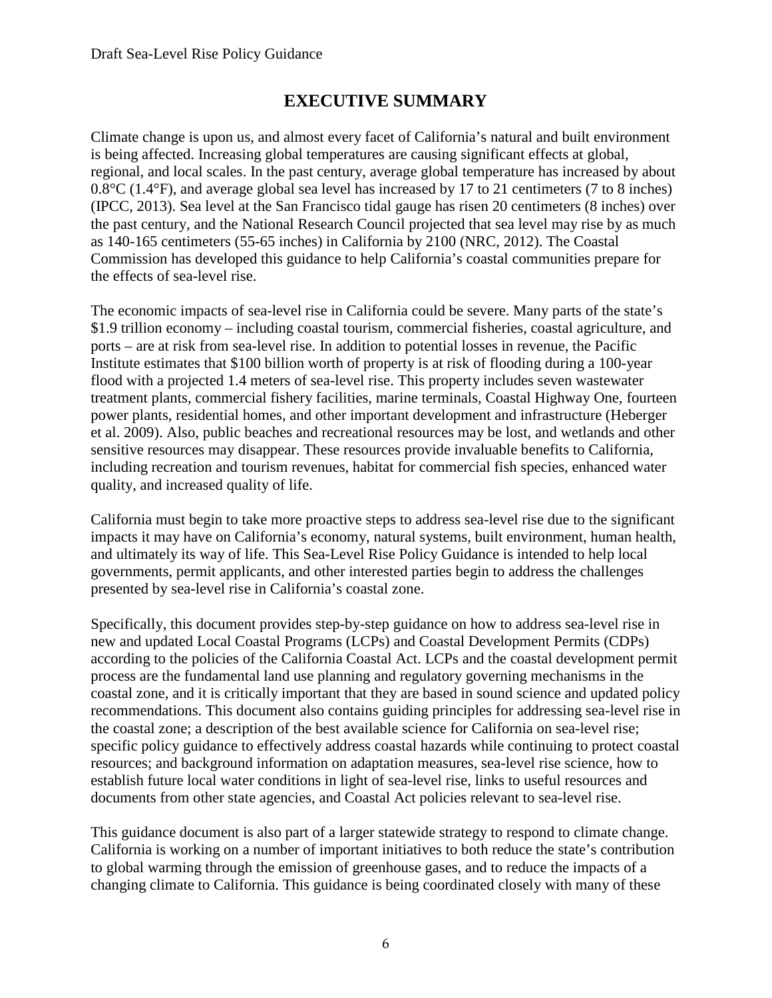## **EXECUTIVE SUMMARY**

Climate change is upon us, and almost every facet of California's natural and built environment is being affected. Increasing global temperatures are causing significant effects at global, regional, and local scales. In the past century, average global temperature has increased by about 0.8°C (1.4°F), and average global sea level has increased by 17 to 21 centimeters (7 to 8 inches) (IPCC, 2013). Sea level at the San Francisco tidal gauge has risen 20 centimeters (8 inches) over the past century, and the National Research Council projected that sea level may rise by as much as 140-165 centimeters (55-65 inches) in California by 2100 (NRC, 2012). The Coastal Commission has developed this guidance to help California's coastal communities prepare for the effects of sea-level rise.

The economic impacts of sea-level rise in California could be severe. Many parts of the state's \$1.9 trillion economy – including coastal tourism, commercial fisheries, coastal agriculture, and ports – are at risk from sea-level rise. In addition to potential losses in revenue, the Pacific Institute estimates that \$100 billion worth of property is at risk of flooding during a 100-year flood with a projected 1.4 meters of sea-level rise. This property includes seven wastewater treatment plants, commercial fishery facilities, marine terminals, Coastal Highway One, fourteen power plants, residential homes, and other important development and infrastructure (Heberger et al. 2009). Also, public beaches and recreational resources may be lost, and wetlands and other sensitive resources may disappear. These resources provide invaluable benefits to California, including recreation and tourism revenues, habitat for commercial fish species, enhanced water quality, and increased quality of life.

California must begin to take more proactive steps to address sea-level rise due to the significant impacts it may have on California's economy, natural systems, built environment, human health, and ultimately its way of life. This Sea-Level Rise Policy Guidance is intended to help local governments, permit applicants, and other interested parties begin to address the challenges presented by sea-level rise in California's coastal zone.

Specifically, this document provides step-by-step guidance on how to address sea-level rise in new and updated Local Coastal Programs (LCPs) and Coastal Development Permits (CDPs) according to the policies of the California Coastal Act. LCPs and the coastal development permit process are the fundamental land use planning and regulatory governing mechanisms in the coastal zone, and it is critically important that they are based in sound science and updated policy recommendations. This document also contains guiding principles for addressing sea-level rise in the coastal zone; a description of the best available science for California on sea-level rise; specific policy guidance to effectively address coastal hazards while continuing to protect coastal resources; and background information on adaptation measures, sea-level rise science, how to establish future local water conditions in light of sea-level rise, links to useful resources and documents from other state agencies, and Coastal Act policies relevant to sea-level rise.

This guidance document is also part of a larger statewide strategy to respond to climate change. California is working on a number of important initiatives to both reduce the state's contribution to global warming through the emission of greenhouse gases, and to reduce the impacts of a changing climate to California. This guidance is being coordinated closely with many of these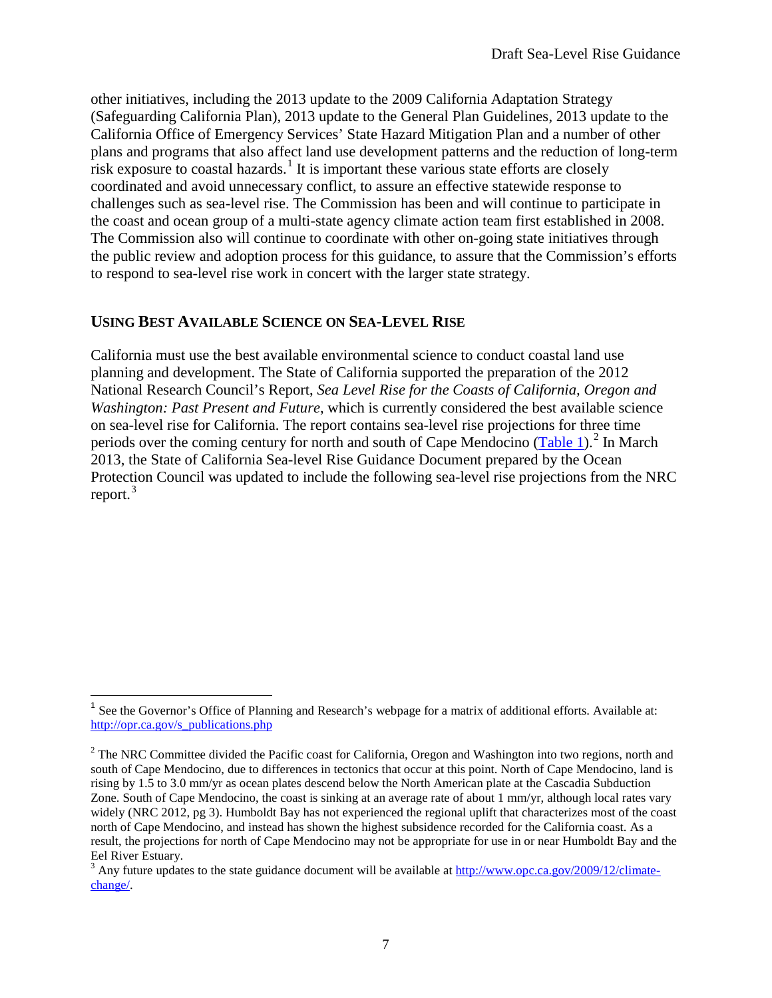other initiatives, including the 2013 update to the 2009 California Adaptation Strategy (Safeguarding California Plan), 2013 update to the General Plan Guidelines, 2013 update to the California Office of Emergency Services' State Hazard Mitigation Plan and a number of other plans and programs that also affect land use development patterns and the reduction of long-term risk exposure to coastal hazards.<sup>[1](#page-6-0)</sup> It is important these various state efforts are closely coordinated and avoid unnecessary conflict, to assure an effective statewide response to challenges such as sea-level rise. The Commission has been and will continue to participate in the coast and ocean group of a multi-state agency climate action team first established in 2008. The Commission also will continue to coordinate with other on-going state initiatives through the public review and adoption process for this guidance, to assure that the Commission's efforts to respond to sea-level rise work in concert with the larger state strategy.

#### **USING BEST AVAILABLE SCIENCE ON SEA-LEVEL RISE**

California must use the best available environmental science to conduct coastal land use planning and development. The State of California supported the preparation of the 2012 National Research Council's Report, *Sea Level Rise for the Coasts of California, Oregon and Washington: Past Present and Future*, which is currently considered the best available science on sea-level rise for California. The report contains sea-level rise projections for three time periods over the coming century for north and south of Cape Mendocino [\(Table 1\)](#page-7-0).<sup>[2](#page-6-1)</sup> In March 2013, the State of California Sea-level Rise Guidance Document prepared by the Ocean Protection Council was updated to include the following sea-level rise projections from the NRC report.<sup>[3](#page-6-2)</sup>

<span id="page-6-0"></span><sup>&</sup>lt;sup>1</sup> See the Governor's Office of Planning and Research's webpage for a matrix of additional efforts. Available at: [http://opr.ca.gov/s\\_publications.php](http://opr.ca.gov/s_publications.php)

<span id="page-6-1"></span><sup>&</sup>lt;sup>2</sup> The NRC Committee divided the Pacific coast for California, Oregon and Washington into two regions, north and south of Cape Mendocino, due to differences in tectonics that occur at this point. North of Cape Mendocino, land is rising by 1.5 to 3.0 mm/yr as ocean plates descend below the North American plate at the Cascadia Subduction Zone. South of Cape Mendocino, the coast is sinking at an average rate of about 1 mm/yr, although local rates vary widely (NRC 2012, pg 3). Humboldt Bay has not experienced the regional uplift that characterizes most of the coast north of Cape Mendocino, and instead has shown the highest subsidence recorded for the California coast. As a result, the projections for north of Cape Mendocino may not be appropriate for use in or near Humboldt Bay and the Eel River Estuary.

<span id="page-6-2"></span><sup>&</sup>lt;sup>3</sup> Any future updates to the state guidance document will be available at [http://www.opc.ca.gov/2009/12/climate](http://www.opc.ca.gov/2009/12/climate-change/)[change/.](http://www.opc.ca.gov/2009/12/climate-change/)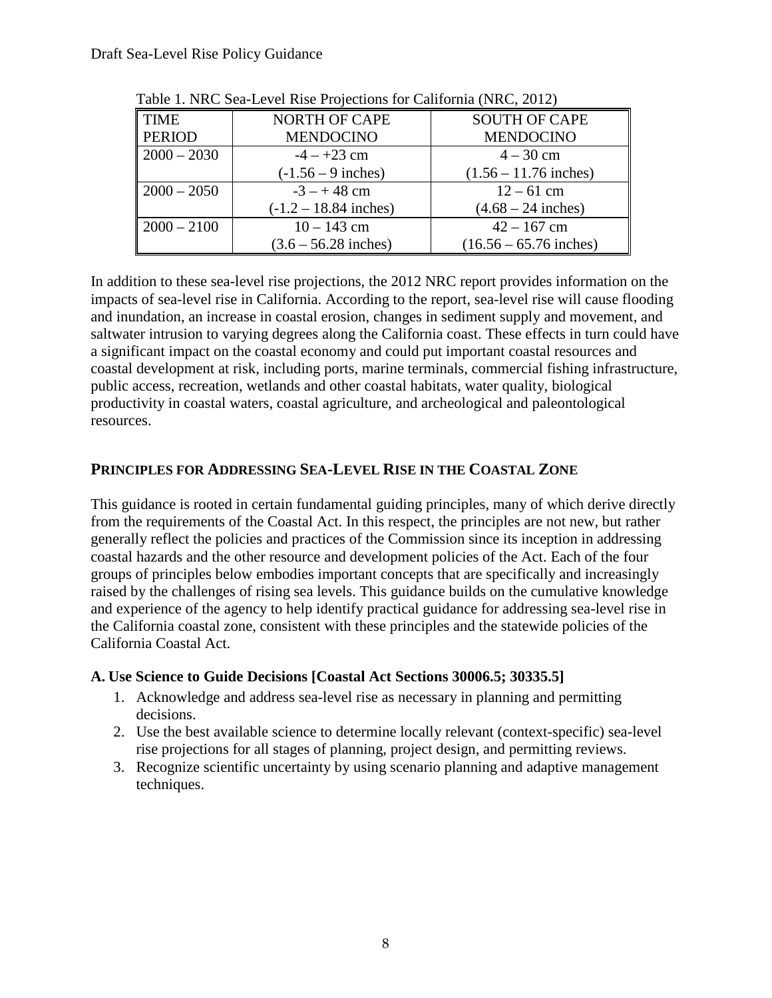| <b>TIME</b>               | <b>NORTH OF CAPE</b>    | <b>SOUTH OF CAPE</b>     |  |  |  |  |
|---------------------------|-------------------------|--------------------------|--|--|--|--|
| <b>PERIOD</b>             | <b>MENDOCINO</b>        | <b>MENDOCINO</b>         |  |  |  |  |
| $\vert 2000 - 2030 \vert$ | $-4 - +23$ cm           | $4 - 30$ cm              |  |  |  |  |
|                           | $(-1.56 - 9$ inches)    | $(1.56 - 11.76$ inches)  |  |  |  |  |
| $\mid$ 2000 - 2050        | $-3 - + 48$ cm          | $12 - 61$ cm             |  |  |  |  |
|                           | $(-1.2 - 18.84$ inches) | $(4.68 - 24$ inches)     |  |  |  |  |
| $\vert 2000 - 2100 \vert$ | $10 - 143$ cm           | $42 - 167$ cm            |  |  |  |  |
|                           | $(3.6 - 56.28$ inches)  | $(16.56 - 65.76$ inches) |  |  |  |  |

<span id="page-7-0"></span>Table 1. NRC Sea-Level Rise Projections for California (NRC, 2012)

In addition to these sea-level rise projections, the 2012 NRC report provides information on the impacts of sea-level rise in California. According to the report, sea-level rise will cause flooding and inundation, an increase in coastal erosion, changes in sediment supply and movement, and saltwater intrusion to varying degrees along the California coast. These effects in turn could have a significant impact on the coastal economy and could put important coastal resources and coastal development at risk, including ports, marine terminals, commercial fishing infrastructure, public access, recreation, wetlands and other coastal habitats, water quality, biological productivity in coastal waters, coastal agriculture, and archeological and paleontological resources.

#### **PRINCIPLES FOR ADDRESSING SEA-LEVEL RISE IN THE COASTAL ZONE**

This guidance is rooted in certain fundamental guiding principles, many of which derive directly from the requirements of the Coastal Act. In this respect, the principles are not new, but rather generally reflect the policies and practices of the Commission since its inception in addressing coastal hazards and the other resource and development policies of the Act. Each of the four groups of principles below embodies important concepts that are specifically and increasingly raised by the challenges of rising sea levels. This guidance builds on the cumulative knowledge and experience of the agency to help identify practical guidance for addressing sea-level rise in the California coastal zone, consistent with these principles and the statewide policies of the California Coastal Act.

#### **A. Use Science to Guide Decisions [Coastal Act Sections 30006.5; 30335.5]**

- 1. Acknowledge and address sea-level rise as necessary in planning and permitting decisions.
- 2. Use the best available science to determine locally relevant (context-specific) sea-level rise projections for all stages of planning, project design, and permitting reviews.
- 3. Recognize scientific uncertainty by using scenario planning and adaptive management techniques.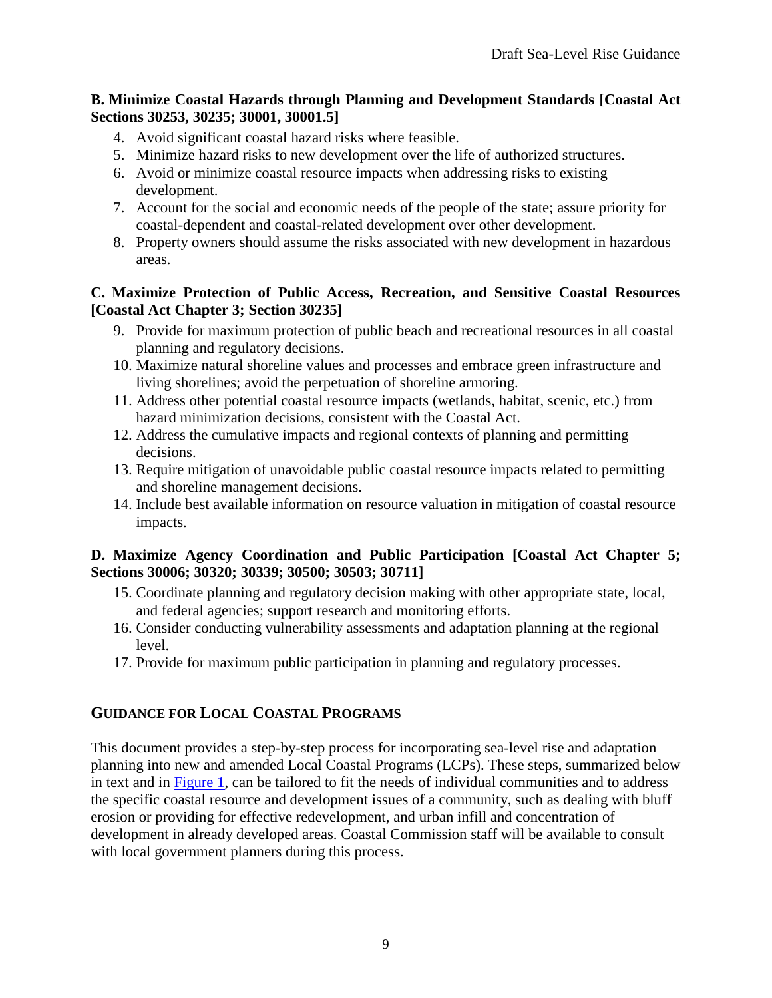#### **B. Minimize Coastal Hazards through Planning and Development Standards [Coastal Act Sections 30253, 30235; 30001, 30001.5]**

- 4. Avoid significant coastal hazard risks where feasible.
- 5. Minimize hazard risks to new development over the life of authorized structures.
- 6. Avoid or minimize coastal resource impacts when addressing risks to existing development.
- 7. Account for the social and economic needs of the people of the state; assure priority for coastal-dependent and coastal-related development over other development.
- 8. Property owners should assume the risks associated with new development in hazardous areas.

#### **C. Maximize Protection of Public Access, Recreation, and Sensitive Coastal Resources [Coastal Act Chapter 3; Section 30235]**

- 9. Provide for maximum protection of public beach and recreational resources in all coastal planning and regulatory decisions.
- 10. Maximize natural shoreline values and processes and embrace green infrastructure and living shorelines; avoid the perpetuation of shoreline armoring.
- 11. Address other potential coastal resource impacts (wetlands, habitat, scenic, etc.) from hazard minimization decisions, consistent with the Coastal Act.
- 12. Address the cumulative impacts and regional contexts of planning and permitting decisions.
- 13. Require mitigation of unavoidable public coastal resource impacts related to permitting and shoreline management decisions.
- 14. Include best available information on resource valuation in mitigation of coastal resource impacts.

#### **D. Maximize Agency Coordination and Public Participation [Coastal Act Chapter 5; Sections 30006; 30320; 30339; 30500; 30503; 30711]**

- 15. Coordinate planning and regulatory decision making with other appropriate state, local, and federal agencies; support research and monitoring efforts.
- 16. Consider conducting vulnerability assessments and adaptation planning at the regional level.
- 17. Provide for maximum public participation in planning and regulatory processes.

#### **GUIDANCE FOR LOCAL COASTAL PROGRAMS**

This document provides a step-by-step process for incorporating sea-level rise and adaptation planning into new and amended Local Coastal Programs (LCPs). These steps, summarized below in text and in [Figure 1,](#page-10-0) can be tailored to fit the needs of individual communities and to address the specific coastal resource and development issues of a community, such as dealing with bluff erosion or providing for effective redevelopment, and urban infill and concentration of development in already developed areas. Coastal Commission staff will be available to consult with local government planners during this process.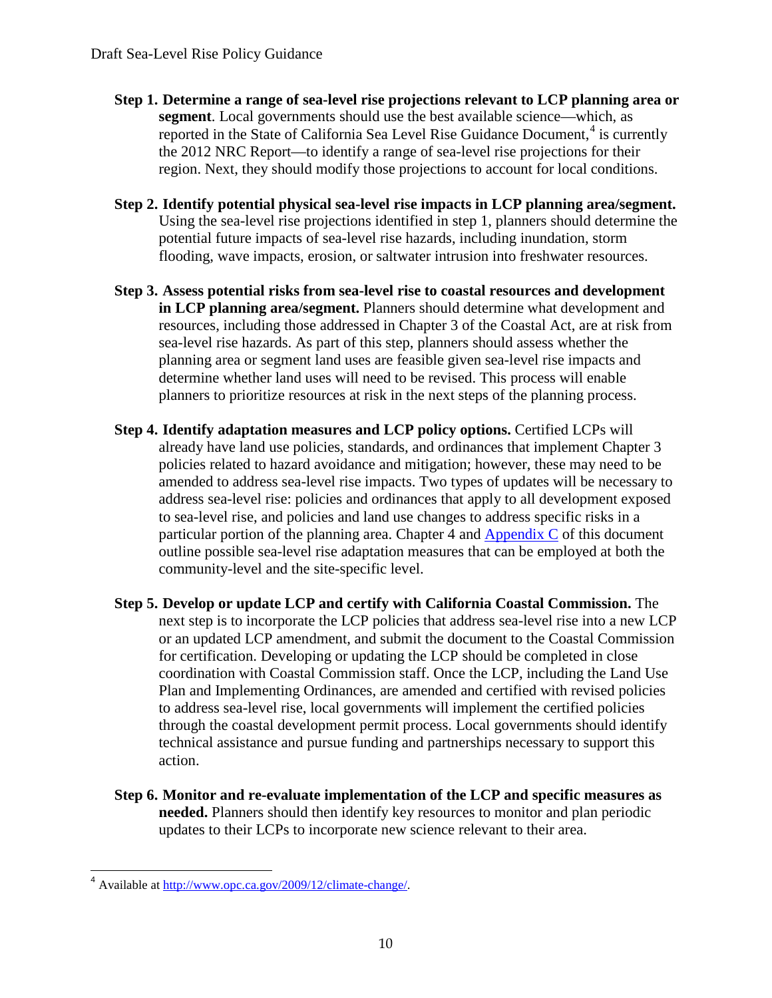- **Step 1. Determine a range of sea-level rise projections relevant to LCP planning area or segment**. Local governments should use the best available science—which, as reported in the State of California Sea Level Rise Guidance Document,<sup>[4](#page-9-0)</sup> is currently the 2012 NRC Report—to identify a range of sea-level rise projections for their region. Next, they should modify those projections to account for local conditions.
- **Step 2. Identify potential physical sea-level rise impacts in LCP planning area/segment.**  Using the sea-level rise projections identified in step 1, planners should determine the potential future impacts of sea-level rise hazards, including inundation, storm flooding, wave impacts, erosion, or saltwater intrusion into freshwater resources.
- **Step 3. Assess potential risks from sea-level rise to coastal resources and development in LCP planning area/segment.** Planners should determine what development and resources, including those addressed in Chapter 3 of the Coastal Act, are at risk from sea-level rise hazards. As part of this step, planners should assess whether the planning area or segment land uses are feasible given sea-level rise impacts and determine whether land uses will need to be revised. This process will enable planners to prioritize resources at risk in the next steps of the planning process.
- **Step 4. Identify adaptation measures and LCP policy options.** Certified LCPs will already have land use policies, standards, and ordinances that implement Chapter 3 policies related to hazard avoidance and mitigation; however, these may need to be amended to address sea-level rise impacts. Two types of updates will be necessary to address sea-level rise: policies and ordinances that apply to all development exposed to sea-level rise, and policies and land use changes to address specific risks in a particular portion of the planning area. Chapter 4 and Appendix C of this document outline possible sea-level rise adaptation measures that can be employed at both the community-level and the site-specific level.
- **Step 5. Develop or update LCP and certify with California Coastal Commission.** The next step is to incorporate the LCP policies that address sea-level rise into a new LCP or an updated LCP amendment, and submit the document to the Coastal Commission for certification. Developing or updating the LCP should be completed in close coordination with Coastal Commission staff. Once the LCP, including the Land Use Plan and Implementing Ordinances, are amended and certified with revised policies to address sea-level rise, local governments will implement the certified policies through the coastal development permit process. Local governments should identify technical assistance and pursue funding and partnerships necessary to support this action.
- **Step 6. Monitor and re-evaluate implementation of the LCP and specific measures as needed.** Planners should then identify key resources to monitor and plan periodic updates to their LCPs to incorporate new science relevant to their area.

<span id="page-9-0"></span><sup>4</sup> Available at [http://www.opc.ca.gov/2009/12/climate-change/.](http://www.opc.ca.gov/2009/12/climate-change/)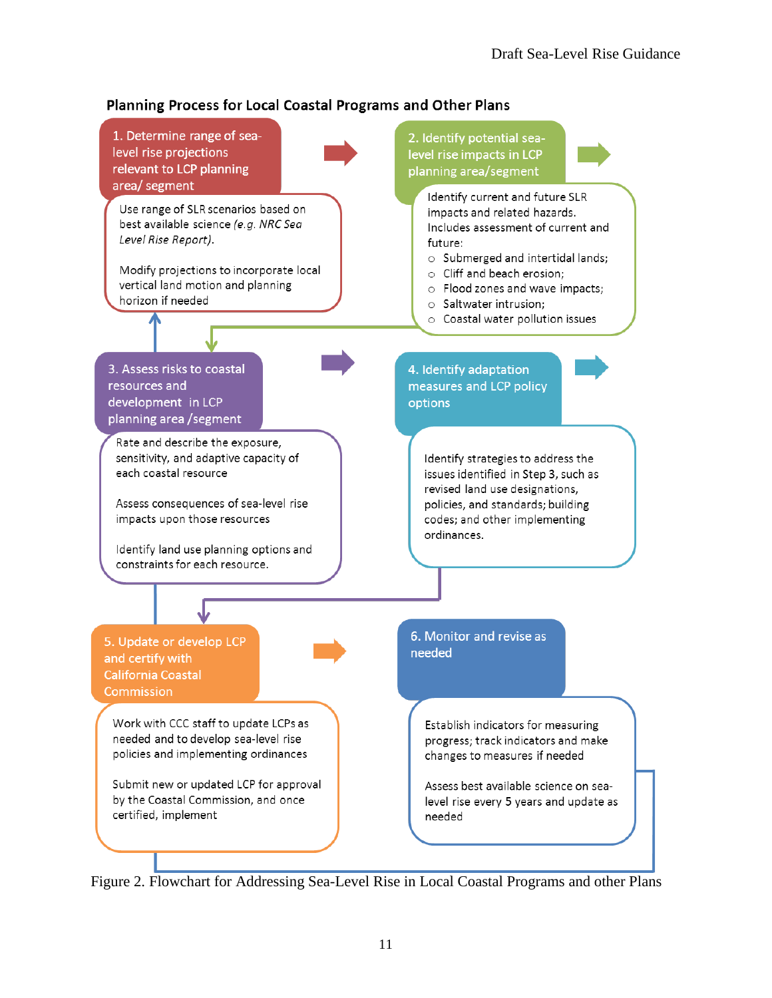#### <span id="page-10-0"></span>Planning Process for Local Coastal Programs and Other Plans



Figure 2. Flowchart for Addressing Sea-Level Rise in Local Coastal Programs and other Plans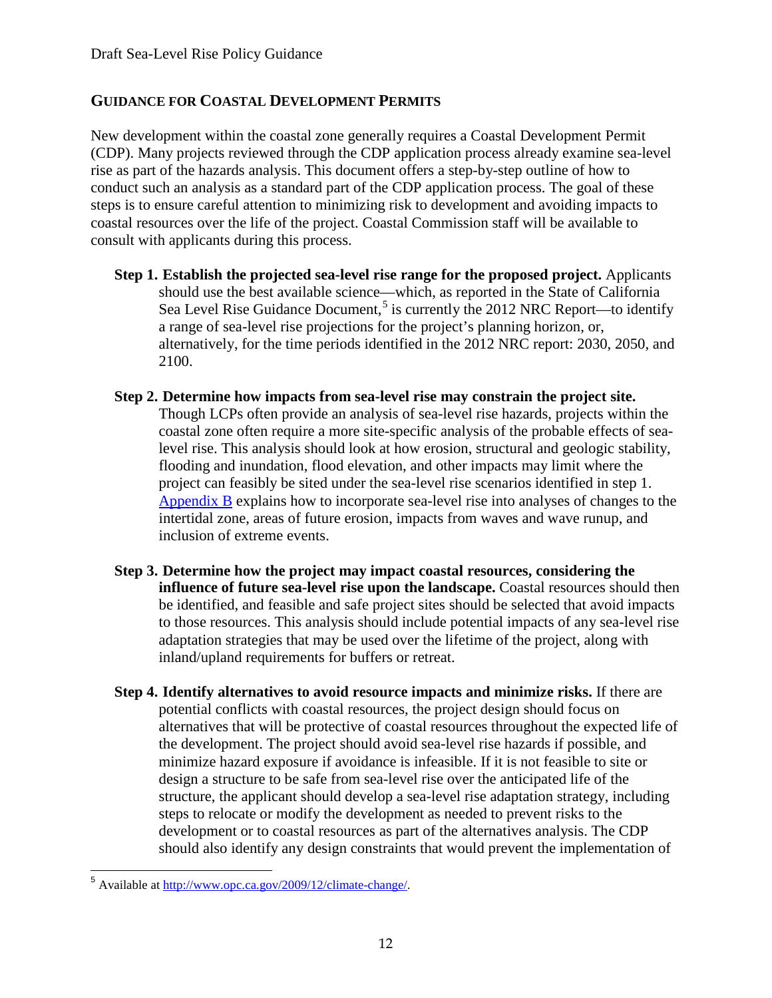#### **GUIDANCE FOR COASTAL DEVELOPMENT PERMITS**

New development within the coastal zone generally requires a Coastal Development Permit (CDP). Many projects reviewed through the CDP application process already examine sea-level rise as part of the hazards analysis. This document offers a step-by-step outline of how to conduct such an analysis as a standard part of the CDP application process. The goal of these steps is to ensure careful attention to minimizing risk to development and avoiding impacts to coastal resources over the life of the project. Coastal Commission staff will be available to consult with applicants during this process.

- **Step 1. Establish the projected sea-level rise range for the proposed project.** Applicants should use the best available science—which, as reported in the State of California Sea Level Rise Guidance Document,<sup>[5](#page-11-0)</sup> is currently the 2012 NRC Report—to identify a range of sea-level rise projections for the project's planning horizon, or, alternatively, for the time periods identified in the 2012 NRC report: 2030, 2050, and 2100.
- **Step 2. Determine how impacts from sea-level rise may constrain the project site.** Though LCPs often provide an analysis of sea-level rise hazards, projects within the coastal zone often require a more site-specific analysis of the probable effects of sealevel rise. This analysis should look at how erosion, structural and geologic stability, flooding and inundation, flood elevation, and other impacts may limit where the project can feasibly be sited under the sea-level rise scenarios identified in step 1. Appendix B explains how to incorporate sea-level rise into analyses of changes to the intertidal zone, areas of future erosion, impacts from waves and wave runup, and inclusion of extreme events.
- **Step 3. Determine how the project may impact coastal resources, considering the influence of future sea-level rise upon the landscape.** Coastal resources should then be identified, and feasible and safe project sites should be selected that avoid impacts to those resources. This analysis should include potential impacts of any sea-level rise adaptation strategies that may be used over the lifetime of the project, along with inland/upland requirements for buffers or retreat.
- **Step 4. Identify alternatives to avoid resource impacts and minimize risks.** If there are potential conflicts with coastal resources, the project design should focus on alternatives that will be protective of coastal resources throughout the expected life of the development. The project should avoid sea-level rise hazards if possible, and minimize hazard exposure if avoidance is infeasible. If it is not feasible to site or design a structure to be safe from sea-level rise over the anticipated life of the structure, the applicant should develop a sea-level rise adaptation strategy, including steps to relocate or modify the development as needed to prevent risks to the development or to coastal resources as part of the alternatives analysis. The CDP should also identify any design constraints that would prevent the implementation of

<span id="page-11-0"></span><sup>5</sup> Available at [http://www.opc.ca.gov/2009/12/climate-change/.](http://www.opc.ca.gov/2009/12/climate-change/)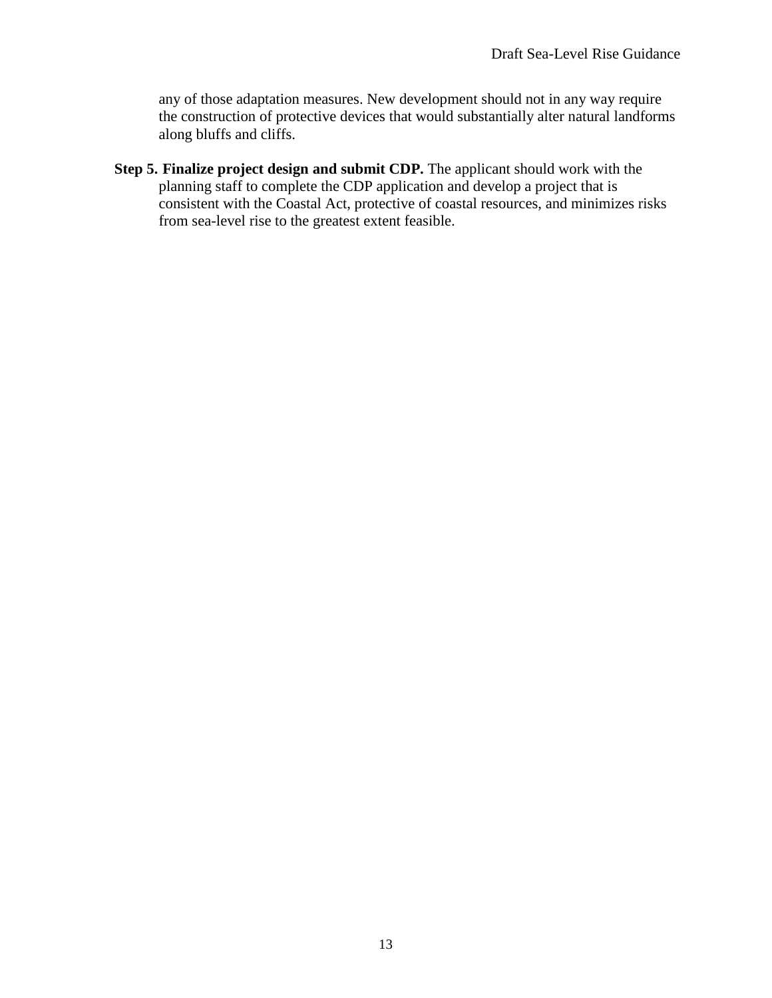any of those adaptation measures. New development should not in any way require the construction of protective devices that would substantially alter natural landforms along bluffs and cliffs.

**Step 5. Finalize project design and submit CDP.** The applicant should work with the planning staff to complete the CDP application and develop a project that is consistent with the Coastal Act, protective of coastal resources, and minimizes risks from sea-level rise to the greatest extent feasible.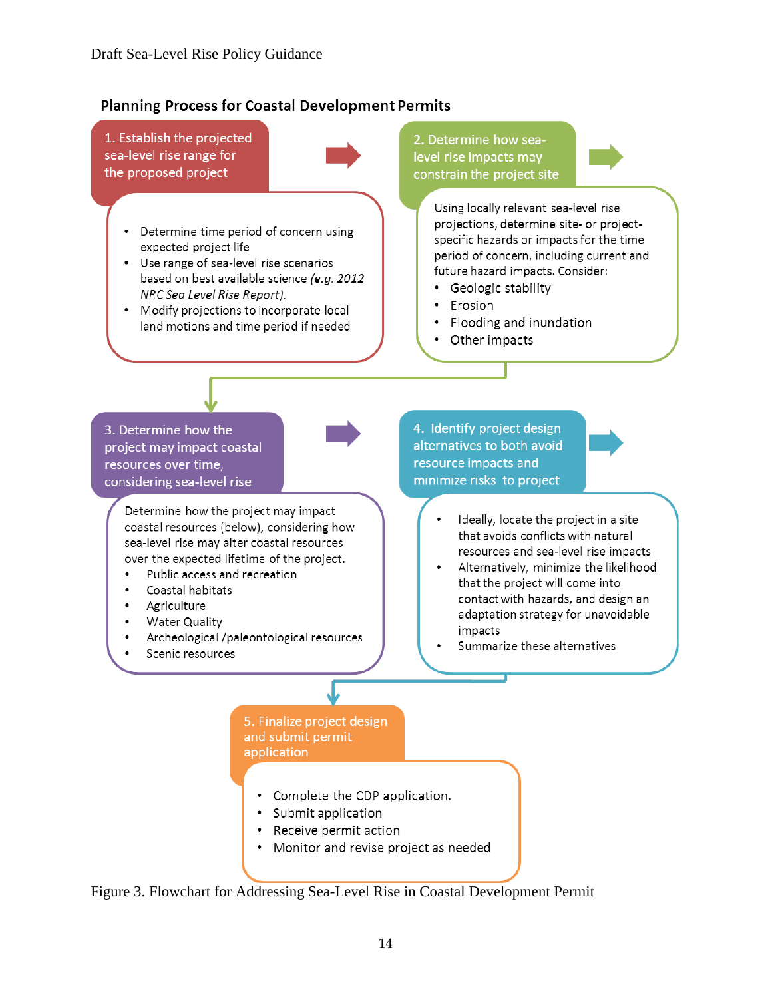#### **Planning Process for Coastal Development Permits**

1. Establish the projected sea-level rise range for the proposed project



- Determine time period of concern using expected project life
- Use range of sea-level rise scenarios based on best available science (e.g. 2012 NRC Sea Level Rise Report).
- Modify projections to incorporate local land motions and time period if needed

2. Determine how sealevel rise impacts may constrain the project site

> Using locally relevant sea-level rise projections, determine site- or projectspecific hazards or impacts for the time period of concern, including current and future hazard impacts. Consider:

- Geologic stability
- Erosion
- Flooding and inundation
- Other impacts

3. Determine how the project may impact coastal resources over time, considering sea-level rise

> Determine how the project may impact coastal resources (below), considering how sea-level rise may alter coastal resources over the expected lifetime of the project.

- Public access and recreation
- Coastal habitats
- Agriculture
- Water Quality
- Archeological /paleontological resources
- Scenic resources

4. Identify project design alternatives to both avoid resource impacts and minimize risks to project



- Alternatively, minimize the likelihood that the project will come into contact with hazards, and design an adaptation strategy for unavoidable impacts
- Summarize these alternatives

5. Finalize project design and submit permit application

- Complete the CDP application.
- · Submit application
- Receive permit action
- Monitor and revise project as needed

Figure 3. Flowchart for Addressing Sea-Level Rise in Coastal Development Permit